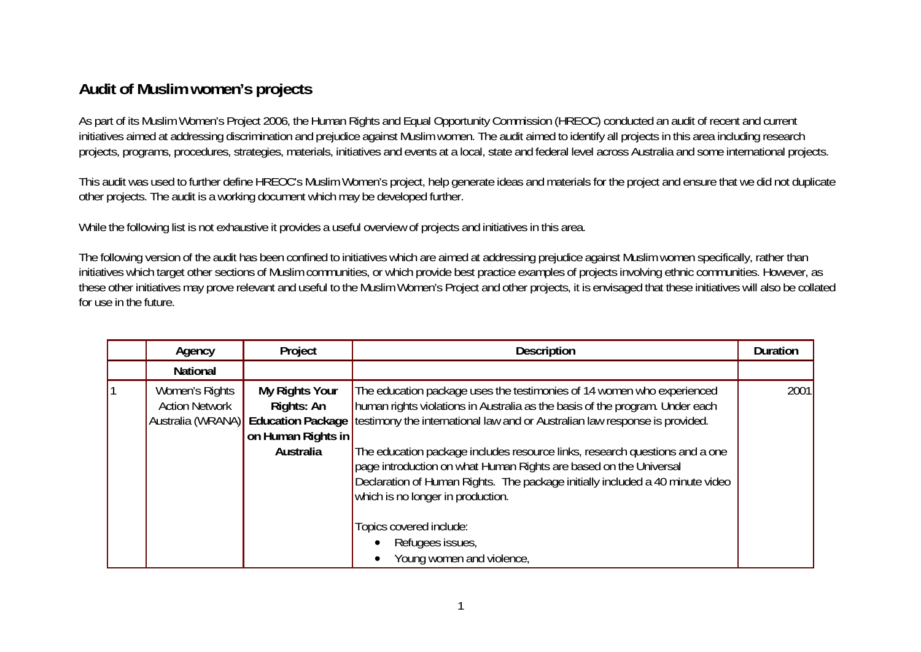## **Audit of Muslim women's projects**

As part of its Muslim Women's Project 2006, the Human Rights and Equal Opportunity Commission (HREOC) conducted an audit of recent and current initiatives aimed at addressing discrimination and prejudice against Muslim women. The audit aimed to identify all projects in this area including research projects, programs, procedures, strategies, materials, initiatives and events at a local, state and federal level across Australia and some international projects.

This audit was used to further define HREOC's Muslim Women's project, help generate ideas and materials for the project and ensure that we did not duplicate other projects. The audit is a working document which may be developed further.

While the following list is not exhaustive it provides a useful overview of projects and initiatives in this area.

The following version of the audit has been confined to initiatives which are aimed at addressing prejudice against Muslim women specifically, rather than initiatives which target other sections of Muslim communities, or which provide best practice examples of projects involving ethnic communities. However, as these other initiatives may prove relevant and useful to the Muslim Women's Project and other projects, it is envisaged that these initiatives will also be collated for use in the future.

| Agency                                                       | Project                                                         | <b>Description</b>                                                                                                                                                                                                                                                                                                                                                                                                                                                                                                                                                                                              | <b>Duration</b> |
|--------------------------------------------------------------|-----------------------------------------------------------------|-----------------------------------------------------------------------------------------------------------------------------------------------------------------------------------------------------------------------------------------------------------------------------------------------------------------------------------------------------------------------------------------------------------------------------------------------------------------------------------------------------------------------------------------------------------------------------------------------------------------|-----------------|
| <b>National</b>                                              |                                                                 |                                                                                                                                                                                                                                                                                                                                                                                                                                                                                                                                                                                                                 |                 |
| Women's Rights<br><b>Action Network</b><br>Australia (WRANA) | My Rights Your<br>Rights: An<br>on Human Rights in<br>Australia | The education package uses the testimonies of 14 women who experienced<br>human rights violations in Australia as the basis of the program. Under each<br>Education Package   testimony the international law and or Australian law response is provided.<br>The education package includes resource links, research questions and a one<br>page introduction on what Human Rights are based on the Universal<br>Declaration of Human Rights. The package initially included a 40 minute video<br>which is no longer in production.<br>Topics covered include:<br>Refugees issues,<br>Young women and violence, | 2001            |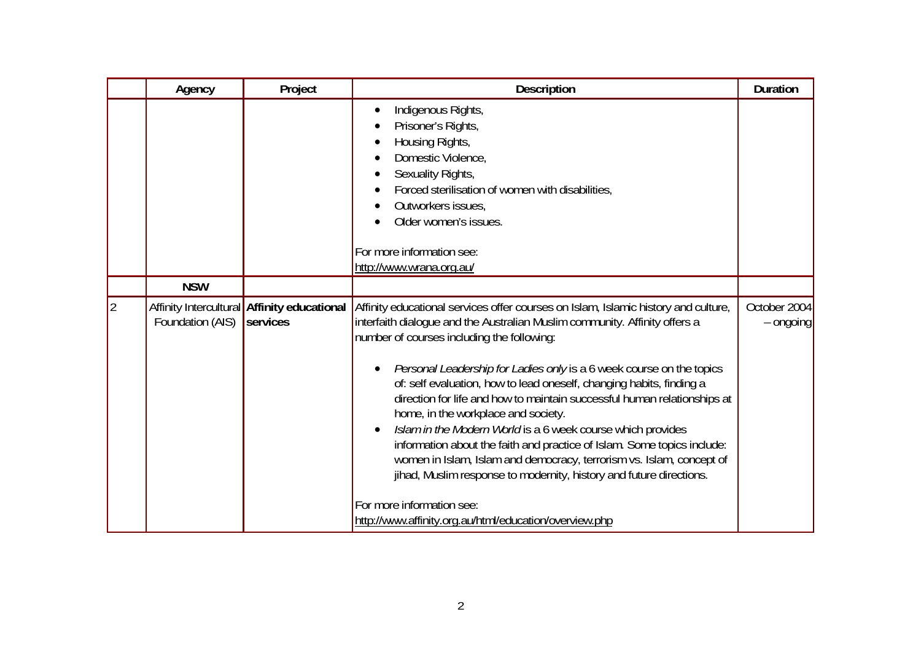|             | Agency           | Project                                                 | Description                                                                                                                                                                                                                                                                                                                                                                                                                                                                                                                                                                                                                                                                                                                                                                                                                                                       | <b>Duration</b>           |
|-------------|------------------|---------------------------------------------------------|-------------------------------------------------------------------------------------------------------------------------------------------------------------------------------------------------------------------------------------------------------------------------------------------------------------------------------------------------------------------------------------------------------------------------------------------------------------------------------------------------------------------------------------------------------------------------------------------------------------------------------------------------------------------------------------------------------------------------------------------------------------------------------------------------------------------------------------------------------------------|---------------------------|
|             |                  |                                                         | Indigenous Rights,<br>$\bullet$<br>Prisoner's Rights,<br>Housing Rights,<br>Domestic Violence,<br>Sexuality Rights,<br>Forced sterilisation of women with disabilities,<br>Outworkers issues,<br>Older women's issues.<br>For more information see:<br>http://www.wrana.org.au/                                                                                                                                                                                                                                                                                                                                                                                                                                                                                                                                                                                   |                           |
|             | <b>NSW</b>       |                                                         |                                                                                                                                                                                                                                                                                                                                                                                                                                                                                                                                                                                                                                                                                                                                                                                                                                                                   |                           |
| $ 2\rangle$ | Foundation (AIS) | Affinity Intercultural Affinity educational<br>services | Affinity educational services offer courses on Islam, Islamic history and culture,<br>interfaith dialogue and the Australian Muslim community. Affinity offers a<br>number of courses including the following:<br>Personal Leadership for Ladies only is a 6 week course on the topics<br>of: self evaluation, how to lead oneself, changing habits, finding a<br>direction for life and how to maintain successful human relationships at<br>home, in the workplace and society.<br>Islam in the Modern World is a 6 week course which provides<br>information about the faith and practice of Islam. Some topics include:<br>women in Islam, Islam and democracy, terrorism vs. Islam, concept of<br>jihad, Muslim response to modernity, history and future directions.<br>For more information see:<br>http://www.affinity.org.au/html/education/overview.php | October 2004<br>- ongoing |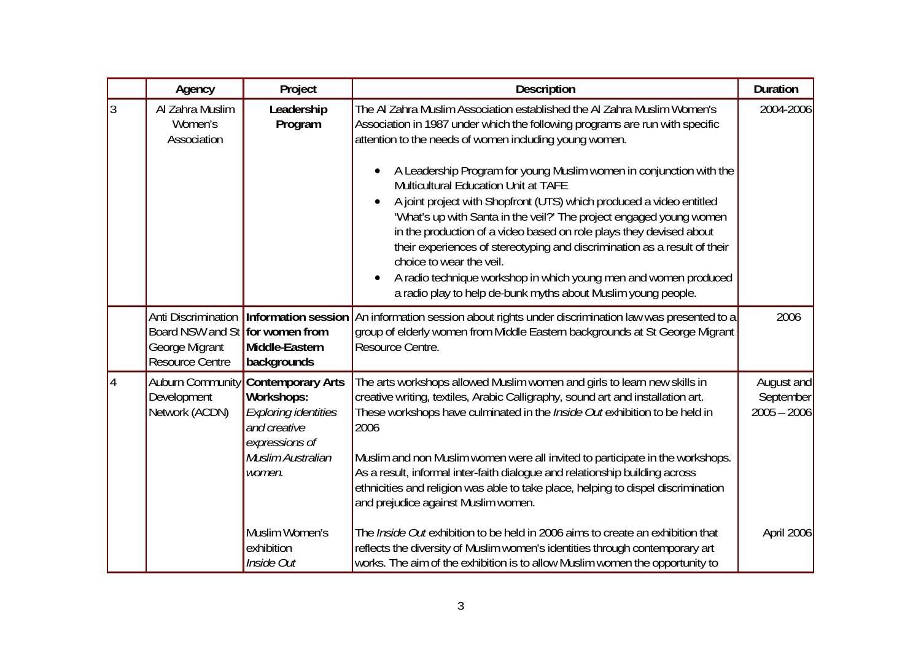|   | Agency                                                                                             | Project                                                                                                                                | <b>Description</b>                                                                                                                                                                                                                                                                                                                                                                                                                                                                                                                                                                                                                                                                                                                                                                                          | <b>Duration</b>                          |
|---|----------------------------------------------------------------------------------------------------|----------------------------------------------------------------------------------------------------------------------------------------|-------------------------------------------------------------------------------------------------------------------------------------------------------------------------------------------------------------------------------------------------------------------------------------------------------------------------------------------------------------------------------------------------------------------------------------------------------------------------------------------------------------------------------------------------------------------------------------------------------------------------------------------------------------------------------------------------------------------------------------------------------------------------------------------------------------|------------------------------------------|
| 3 | Al Zahra Muslim<br>Women's<br>Association                                                          | Leadership<br>Program                                                                                                                  | The AI Zahra Muslim Association established the AI Zahra Muslim Women's<br>Association in 1987 under which the following programs are run with specific<br>attention to the needs of women including young women.<br>A Leadership Program for young Muslim women in conjunction with the<br><b>Multicultural Education Unit at TAFE</b><br>A joint project with Shopfront (UTS) which produced a video entitled<br>'What's up with Santa in the veil?' The project engaged young women<br>in the production of a video based on role plays they devised about<br>their experiences of stereotyping and discrimination as a result of their<br>choice to wear the yeil.<br>A radio technique workshop in which young men and women produced<br>a radio play to help de-bunk myths about Muslim young people. | 2004-2006                                |
|   | Anti Discrimination<br>Board NSW and St for women from<br>George Migrant<br><b>Resource Centre</b> | <b>Information session</b><br>Middle-Eastern<br>backgrounds                                                                            | An information session about rights under discrimination law was presented to a<br>group of elderly women from Middle Eastern backgrounds at St George Migrant<br>Resource Centre.                                                                                                                                                                                                                                                                                                                                                                                                                                                                                                                                                                                                                          | 2006                                     |
|   | <b>Auburn Community</b><br>Development<br>Network (ACDN)                                           | <b>Contemporary Arts</b><br>Workshops:<br><b>Exploring identities</b><br>and creative<br>expressions of<br>Muslim Australian<br>women. | The arts workshops allowed Muslim women and girls to learn new skills in<br>creative writing, textiles, Arabic Calligraphy, sound art and installation art.<br>These workshops have culminated in the <i>Inside Out</i> exhibition to be held in<br>2006<br>Muslim and non Muslim women were all invited to participate in the workshops.<br>As a result, informal inter-faith dialogue and relationship building across<br>ethnicities and religion was able to take place, helping to dispel discrimination<br>and prejudice against Muslim women.                                                                                                                                                                                                                                                        | August and<br>September<br>$2005 - 2006$ |
|   |                                                                                                    | Muslim Women's<br>exhibition<br>Inside Out                                                                                             | The <i>Inside Out</i> exhibition to be held in 2006 aims to create an exhibition that<br>reflects the diversity of Muslim women's identities through contemporary art<br>works. The aim of the exhibition is to allow Muslim women the opportunity to                                                                                                                                                                                                                                                                                                                                                                                                                                                                                                                                                       | April 2006                               |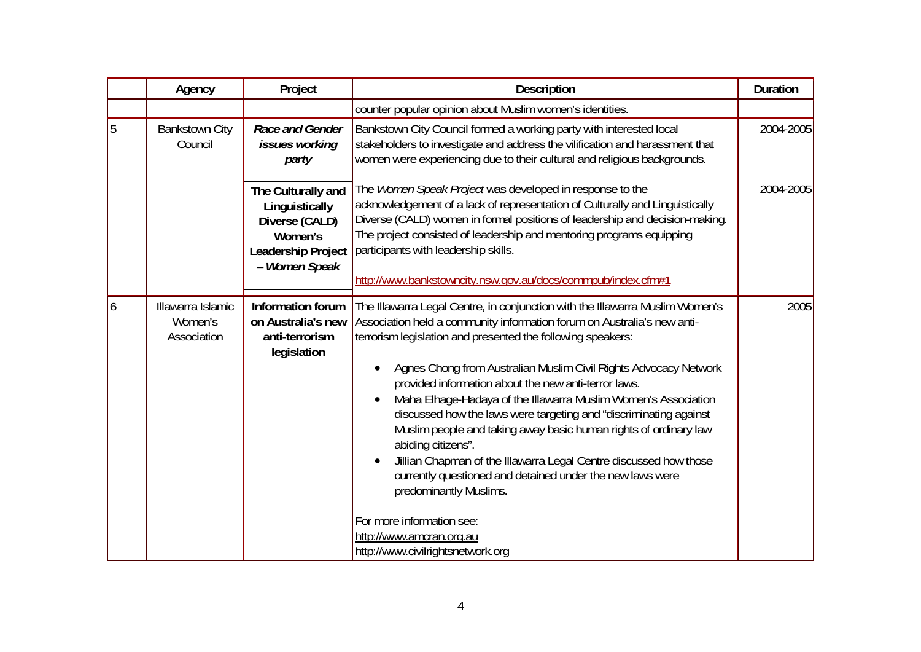|    | Agency                                      | Project                                                                                                  | Description                                                                                                                                                                                                                                                                                                                                                                                                                                                                                                                                                                                                                                                                                                                                                  | <b>Duration</b> |
|----|---------------------------------------------|----------------------------------------------------------------------------------------------------------|--------------------------------------------------------------------------------------------------------------------------------------------------------------------------------------------------------------------------------------------------------------------------------------------------------------------------------------------------------------------------------------------------------------------------------------------------------------------------------------------------------------------------------------------------------------------------------------------------------------------------------------------------------------------------------------------------------------------------------------------------------------|-----------------|
|    |                                             |                                                                                                          | counter popular opinion about Muslim women's identities.                                                                                                                                                                                                                                                                                                                                                                                                                                                                                                                                                                                                                                                                                                     |                 |
| 5  | <b>Bankstown City</b><br>Council            | Race and Gender<br><i>issues working</i><br>party                                                        | Bankstown City Council formed a working party with interested local<br>stakeholders to investigate and address the vilification and harassment that<br>women were experiencing due to their cultural and religious backgrounds.                                                                                                                                                                                                                                                                                                                                                                                                                                                                                                                              | 2004-2005       |
|    |                                             | The Culturally and<br>Linguistically<br>Diverse (CALD)<br>Women's<br>Leadership Project<br>- Women Speak | The Women Speak Project was developed in response to the<br>acknowledgement of a lack of representation of Culturally and Linguistically<br>Diverse (CALD) women in formal positions of leadership and decision-making.<br>The project consisted of leadership and mentoring programs equipping<br>participants with leadership skills.<br>http://www.bankstowncity.nsw.gov.au/docs/commpub/index.cfm#1                                                                                                                                                                                                                                                                                                                                                      | 2004-2005       |
|    |                                             |                                                                                                          |                                                                                                                                                                                                                                                                                                                                                                                                                                                                                                                                                                                                                                                                                                                                                              |                 |
| 16 | Illawarra Islamic<br>Women's<br>Association | Information forum<br>on Australia's new<br>anti-terrorism<br>legislation                                 | The Illawarra Legal Centre, in conjunction with the Illawarra Muslim Women's<br>Association held a community information forum on Australia's new anti-<br>terrorism legislation and presented the following speakers:<br>Agnes Chong from Australian Muslim Civil Rights Advocacy Network<br>provided information about the new anti-terror laws.<br>Maha Elhage-Hadaya of the Illawarra Muslim Women's Association<br>$\bullet$<br>discussed how the laws were targeting and "discriminating against<br>Muslim people and taking away basic human rights of ordinary law<br>abiding citizens".<br>Jillian Chapman of the Illawarra Legal Centre discussed how those<br>currently questioned and detained under the new laws were<br>predominantly Muslims. | 2005            |
|    |                                             |                                                                                                          | For more information see:<br>http://www.amcran.org.au<br>http://www.civilrightsnetwork.org                                                                                                                                                                                                                                                                                                                                                                                                                                                                                                                                                                                                                                                                   |                 |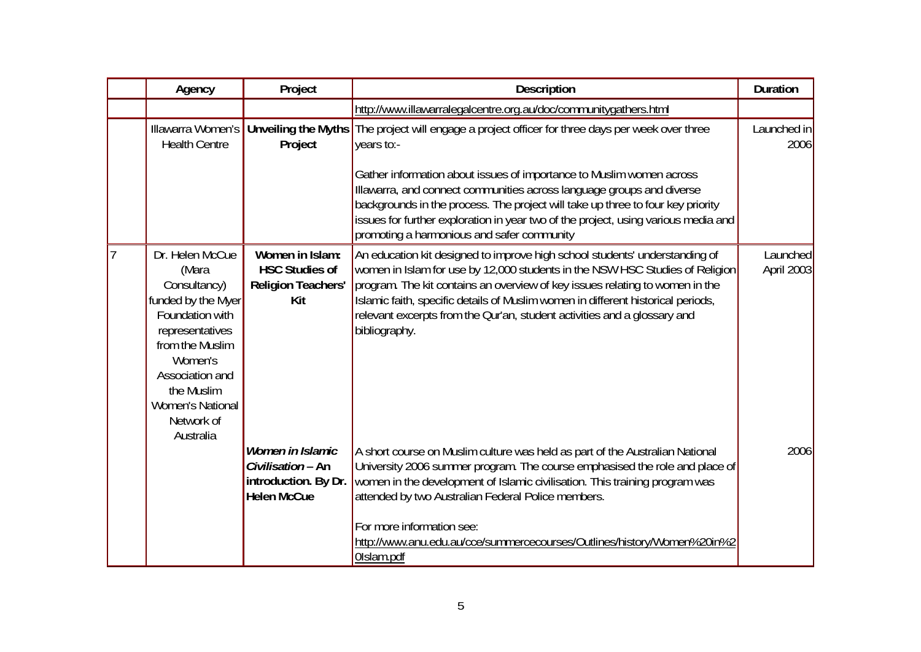|                | Agency                                                                                                                                                                                                                    | Project                                                                             | <b>Description</b>                                                                                                                                                                                                                                                                                                                                                                                                             | <b>Duration</b>        |
|----------------|---------------------------------------------------------------------------------------------------------------------------------------------------------------------------------------------------------------------------|-------------------------------------------------------------------------------------|--------------------------------------------------------------------------------------------------------------------------------------------------------------------------------------------------------------------------------------------------------------------------------------------------------------------------------------------------------------------------------------------------------------------------------|------------------------|
|                |                                                                                                                                                                                                                           |                                                                                     | http://www.illawarralegalcentre.org.au/doc/communitygathers.html                                                                                                                                                                                                                                                                                                                                                               |                        |
|                | Illawarra Women's<br><b>Health Centre</b>                                                                                                                                                                                 | Project                                                                             | Unveiling the Myths The project will engage a project officer for three days per week over three<br>years to:-                                                                                                                                                                                                                                                                                                                 | Launched in<br>2006    |
|                |                                                                                                                                                                                                                           |                                                                                     | Gather information about issues of importance to Muslim women across<br>Illawarra, and connect communities across language groups and diverse<br>backgrounds in the process. The project will take up three to four key priority<br>issues for further exploration in year two of the project, using various media and<br>promoting a harmonious and safer community                                                           |                        |
| $\overline{7}$ | Dr. Helen McCue<br>(Mara<br>Consultancy)<br>funded by the Myer<br>Foundation with<br>representatives<br>from the Muslim<br>Women's<br>Association and<br>the Muslim<br><b>Women's National</b><br>Network of<br>Australia | Women in Islam:<br><b>HSC Studies of</b><br><b>Religion Teachers'</b><br>Kit        | An education kit designed to improve high school students' understanding of<br> women in Islam for use by 12,000 students in the NSW HSC Studies of Religion <br>program. The kit contains an overview of key issues relating to women in the<br>Islamic faith, specific details of Muslim women in different historical periods,<br>relevant excerpts from the Qur'an, student activities and a glossary and<br>bibliography. | Launched<br>April 2003 |
|                |                                                                                                                                                                                                                           | Women in Islamic<br>Civilisation - An<br>introduction. By Dr.<br><b>Helen McCue</b> | A short course on Muslim culture was held as part of the Australian National<br>University 2006 summer program. The course emphasised the role and place of<br>women in the development of Islamic civilisation. This training program was<br>attended by two Australian Federal Police members.<br>For more information see:<br>http://www.anu.edu.au/cce/summercecourses/Outlines/history/Women%20in%2<br>Olslam.pdf         | 2006                   |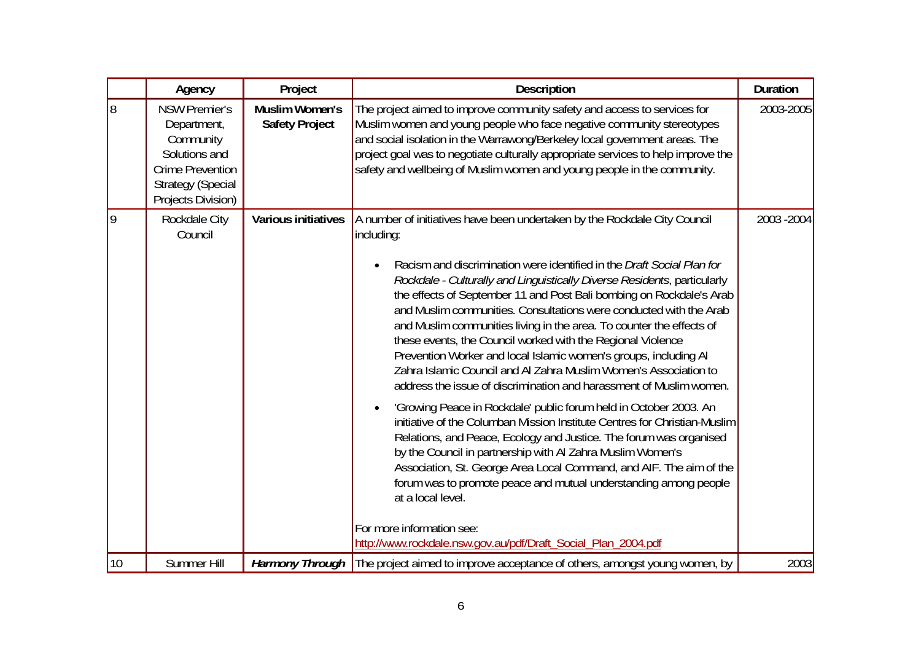|    | Agency                                                                                                                                         | Project                                        | <b>Description</b>                                                                                                                                                                                                                                                                                                                                                                                                                                                                                                                                                                                                                                                                                                                                                                                                                                                                                                                                                                                                                                                                                                                                                                                                                                                                                                              | <b>Duration</b> |
|----|------------------------------------------------------------------------------------------------------------------------------------------------|------------------------------------------------|---------------------------------------------------------------------------------------------------------------------------------------------------------------------------------------------------------------------------------------------------------------------------------------------------------------------------------------------------------------------------------------------------------------------------------------------------------------------------------------------------------------------------------------------------------------------------------------------------------------------------------------------------------------------------------------------------------------------------------------------------------------------------------------------------------------------------------------------------------------------------------------------------------------------------------------------------------------------------------------------------------------------------------------------------------------------------------------------------------------------------------------------------------------------------------------------------------------------------------------------------------------------------------------------------------------------------------|-----------------|
| 8  | <b>NSW Premier's</b><br>Department,<br>Community<br>Solutions and<br><b>Crime Prevention</b><br><b>Strategy (Special</b><br>Projects Division) | <b>Muslim Women's</b><br><b>Safety Project</b> | The project aimed to improve community safety and access to services for<br>Muslim women and young people who face negative community stereotypes<br>and social isolation in the Warrawong/Berkeley local government areas. The<br>project goal was to negotiate culturally appropriate services to help improve the<br>safety and wellbeing of Muslim women and young people in the community.                                                                                                                                                                                                                                                                                                                                                                                                                                                                                                                                                                                                                                                                                                                                                                                                                                                                                                                                 | 2003-2005       |
| 9  | Rockdale City<br>Council                                                                                                                       | <b>Various initiatives</b>                     | A number of initiatives have been undertaken by the Rockdale City Council<br>including:<br>Racism and discrimination were identified in the Draft Social Plan for<br>$\bullet$<br>Rockdale - Culturally and Linguistically Diverse Residents, particularly<br>the effects of September 11 and Post Bali bombing on Rockdale's Arab<br>and Muslim communities. Consultations were conducted with the Arab<br>and Muslim communities living in the area. To counter the effects of<br>these events, the Council worked with the Regional Violence<br>Prevention Worker and local Islamic women's groups, including Al<br>Zahra Islamic Council and AI Zahra Muslim Women's Association to<br>address the issue of discrimination and harassment of Muslim women.<br>'Growing Peace in Rockdale' public forum held in October 2003. An<br>$\bullet$<br>initiative of the Columban Mission Institute Centres for Christian-Muslim<br>Relations, and Peace, Ecology and Justice. The forum was organised<br>by the Council in partnership with Al Zahra Muslim Women's<br>Association, St. George Area Local Command, and AIF. The aim of the<br>forum was to promote peace and mutual understanding among people<br>at a local level.<br>For more information see:<br>http://www.rockdale.nsw.gov.au/pdf/Draft_Social_Plan_2004.pdf | 2003 - 2004     |
| 10 | Summer Hill                                                                                                                                    |                                                | Harmony Through   The project aimed to improve acceptance of others, amongst young women, by                                                                                                                                                                                                                                                                                                                                                                                                                                                                                                                                                                                                                                                                                                                                                                                                                                                                                                                                                                                                                                                                                                                                                                                                                                    | 2003            |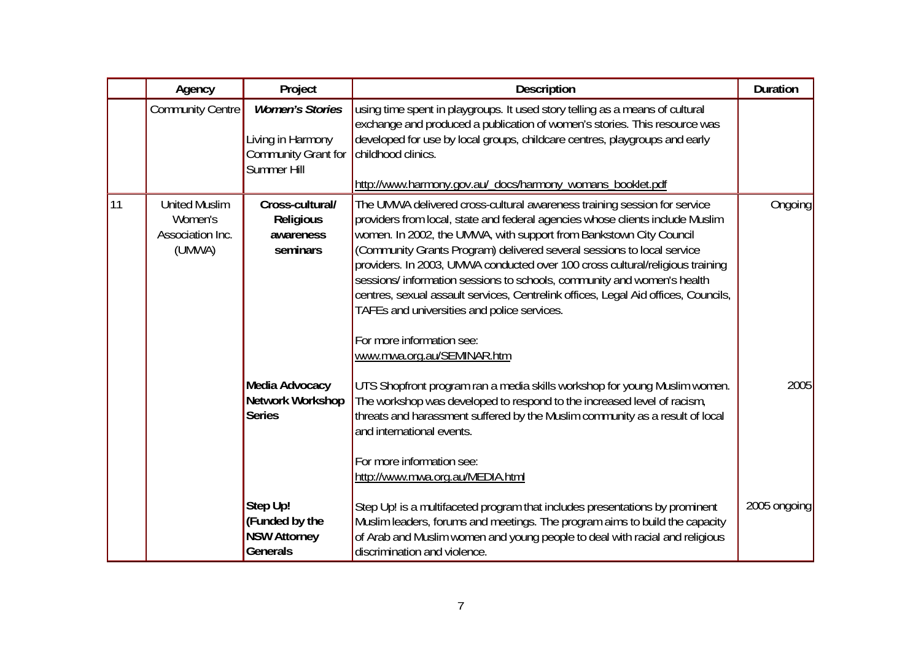|    | Agency                                                        | Project                                                                                  | Description                                                                                                                                                                                                                                                                                                                                                                                                                                                                                                                                                                                                                             | <b>Duration</b> |
|----|---------------------------------------------------------------|------------------------------------------------------------------------------------------|-----------------------------------------------------------------------------------------------------------------------------------------------------------------------------------------------------------------------------------------------------------------------------------------------------------------------------------------------------------------------------------------------------------------------------------------------------------------------------------------------------------------------------------------------------------------------------------------------------------------------------------------|-----------------|
|    | <b>Community Centre</b>                                       | <b>Women's Stories</b><br>Living in Harmony<br>Community Grant for<br><b>Summer Hill</b> | using time spent in playgroups. It used story telling as a means of cultural<br>exchange and produced a publication of women's stories. This resource was<br>developed for use by local groups, childcare centres, playgroups and early<br>childhood clinics.<br>http://www.harmony.gov.au/_docs/harmony_womans_booklet.pdf                                                                                                                                                                                                                                                                                                             |                 |
| 11 | <b>United Muslim</b><br>Women's<br>Association Inc.<br>(UMWA) | Cross-cultural/<br><b>Religious</b><br>awareness<br>seminars                             | The UMWA delivered cross-cultural awareness training session for service<br>providers from local, state and federal agencies whose clients include Muslim<br>women. In 2002, the UMWA, with support from Bankstown City Council<br>(Community Grants Program) delivered several sessions to local service<br>providers. In 2003, UMWA conducted over 100 cross cultural/religious training<br>sessions/ information sessions to schools, community and women's health<br>centres, sexual assault services, Centrelink offices, Legal Aid offices, Councils,<br>TAFEs and universities and police services.<br>For more information see: | Ongoing         |
|    |                                                               | Media Advocacy<br><b>Network Workshop</b><br><b>Series</b>                               | www.mwa.org.au/SEMINAR.htm<br>UTS Shopfront program ran a media skills workshop for young Muslim women.<br>The workshop was developed to respond to the increased level of racism,<br>threats and harassment suffered by the Muslim community as a result of local<br>and international events.<br>For more information see:<br>http://www.mwa.org.au/MEDIA.html                                                                                                                                                                                                                                                                        | 2005            |
|    |                                                               | Step Up!<br>(Funded by the<br><b>NSW Attorney</b><br><b>Generals</b>                     | Step Up! is a multifaceted program that includes presentations by prominent<br>Muslim leaders, forums and meetings. The program aims to build the capacity<br>of Arab and Muslim women and young people to deal with racial and religious<br>discrimination and violence.                                                                                                                                                                                                                                                                                                                                                               | 2005 ongoing    |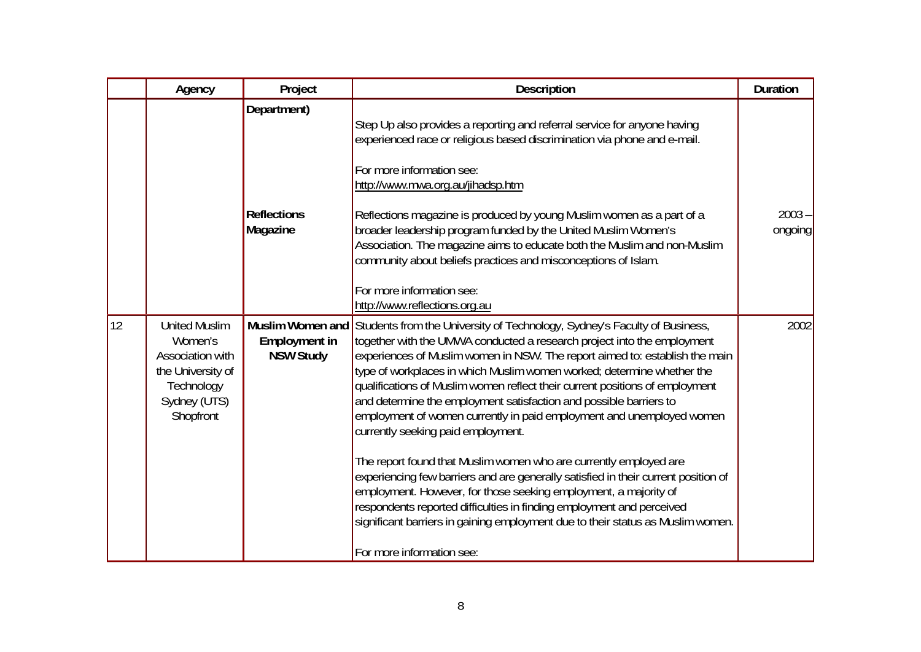|    | Agency                                                                                                              | Project                                       | Description                                                                                                                                                                                                                                                                                                                                                                                                                                                                                                                                                                                                                                                                                                                                                                                                                                                                                                                                                                                                                 | <b>Duration</b>     |
|----|---------------------------------------------------------------------------------------------------------------------|-----------------------------------------------|-----------------------------------------------------------------------------------------------------------------------------------------------------------------------------------------------------------------------------------------------------------------------------------------------------------------------------------------------------------------------------------------------------------------------------------------------------------------------------------------------------------------------------------------------------------------------------------------------------------------------------------------------------------------------------------------------------------------------------------------------------------------------------------------------------------------------------------------------------------------------------------------------------------------------------------------------------------------------------------------------------------------------------|---------------------|
|    |                                                                                                                     | Department)<br><b>Reflections</b><br>Magazine | Step Up also provides a reporting and referral service for anyone having<br>experienced race or religious based discrimination via phone and e-mail.<br>For more information see:<br>http://www.mwa.org.au/jihadsp.htm<br>Reflections magazine is produced by young Muslim women as a part of a<br>broader leadership program funded by the United Muslim Women's<br>Association. The magazine aims to educate both the Muslim and non-Muslim<br>community about beliefs practices and misconceptions of Islam.<br>For more information see:<br>http://www.reflections.org.au                                                                                                                                                                                                                                                                                                                                                                                                                                               | $2003 -$<br>ongoing |
| 12 | <b>United Muslim</b><br>Women's<br>Association with<br>the University of<br>Technology<br>Sydney (UTS)<br>Shopfront | <b>Employment in</b><br><b>NSW Study</b>      | Muslim Women and Students from the University of Technology, Sydney's Faculty of Business,<br>together with the UMWA conducted a research project into the employment<br>experiences of Muslim women in NSW. The report aimed to: establish the main<br>type of workplaces in which Muslim women worked; determine whether the<br>qualifications of Muslim women reflect their current positions of employment<br>and determine the employment satisfaction and possible barriers to<br>employment of women currently in paid employment and unemployed women<br>currently seeking paid employment.<br>The report found that Muslim women who are currently employed are<br>experiencing few barriers and are generally satisfied in their current position of<br>employment. However, for those seeking employment, a majority of<br>respondents reported difficulties in finding employment and perceived<br>significant barriers in gaining employment due to their status as Muslim women.<br>For more information see: | 2002                |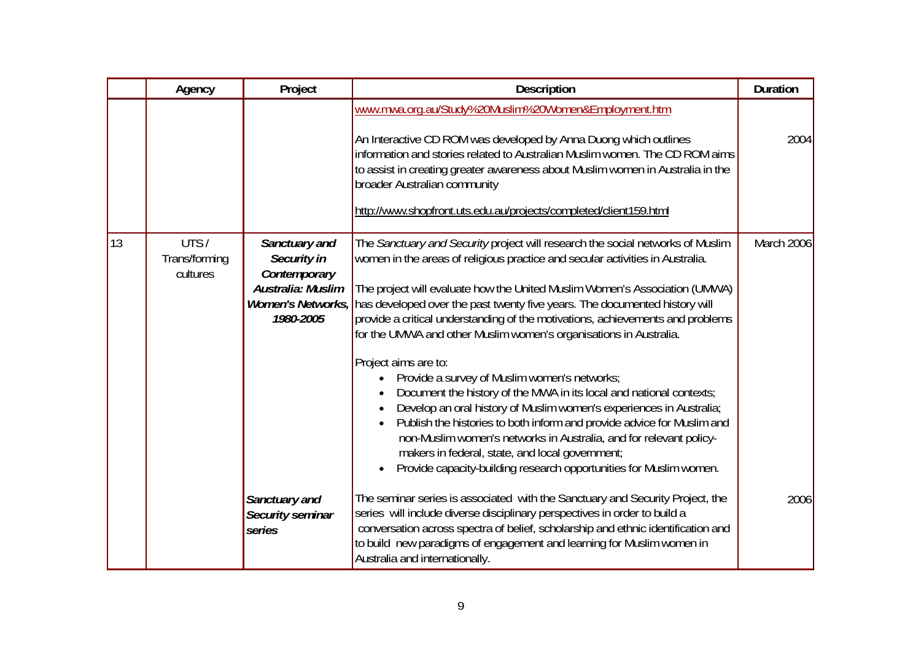|    | Agency                            | Project                                                                        | Description                                                                                                                                                                                                                                                                                                                                                                                                                                                                                                                                                                                                                                                                                                                                                                                                                                                                                                                                                                                                      | <b>Duration</b> |
|----|-----------------------------------|--------------------------------------------------------------------------------|------------------------------------------------------------------------------------------------------------------------------------------------------------------------------------------------------------------------------------------------------------------------------------------------------------------------------------------------------------------------------------------------------------------------------------------------------------------------------------------------------------------------------------------------------------------------------------------------------------------------------------------------------------------------------------------------------------------------------------------------------------------------------------------------------------------------------------------------------------------------------------------------------------------------------------------------------------------------------------------------------------------|-----------------|
|    |                                   |                                                                                | www.mwa.org.au/Study%20Muslim%20Women&Employment.htm<br>An Interactive CD ROM was developed by Anna Duong which outlines<br>information and stories related to Australian Muslim women. The CD ROM aims<br>to assist in creating greater awareness about Muslim women in Australia in the<br>broader Australian community<br>http://www.shopfront.uts.edu.au/projects/completed/client159.html                                                                                                                                                                                                                                                                                                                                                                                                                                                                                                                                                                                                                   | 2004            |
| 13 | UTS/<br>Trans/forming<br>cultures | Sanctuary and<br>Security in<br>Contemporary<br>Australia: Muslim<br>1980-2005 | The Sanctuary and Security project will research the social networks of Muslim<br>women in the areas of religious practice and secular activities in Australia.<br>The project will evaluate how the United Muslim Women's Association (UMWA)<br>Women's Networks, has developed over the past twenty five years. The documented history will<br>provide a critical understanding of the motivations, achievements and problems<br>for the UMWA and other Muslim women's organisations in Australia.<br>Project aims are to:<br>Provide a survey of Muslim women's networks;<br>$\bullet$<br>Document the history of the MWA in its local and national contexts;<br>Develop an oral history of Muslim women's experiences in Australia;<br>Publish the histories to both inform and provide advice for Muslim and<br>non-Muslim women's networks in Australia, and for relevant policy-<br>makers in federal, state, and local government;<br>Provide capacity-building research opportunities for Muslim women. | March 2006      |
|    |                                   | Sanctuary and<br>Security seminar<br>series                                    | The seminar series is associated with the Sanctuary and Security Project, the<br>series will include diverse disciplinary perspectives in order to build a<br>conversation across spectra of belief, scholarship and ethnic identification and<br>to build new paradigms of engagement and learning for Muslim women in<br>Australia and internationally.                                                                                                                                                                                                                                                                                                                                                                                                                                                                                                                                                                                                                                                        | 2006            |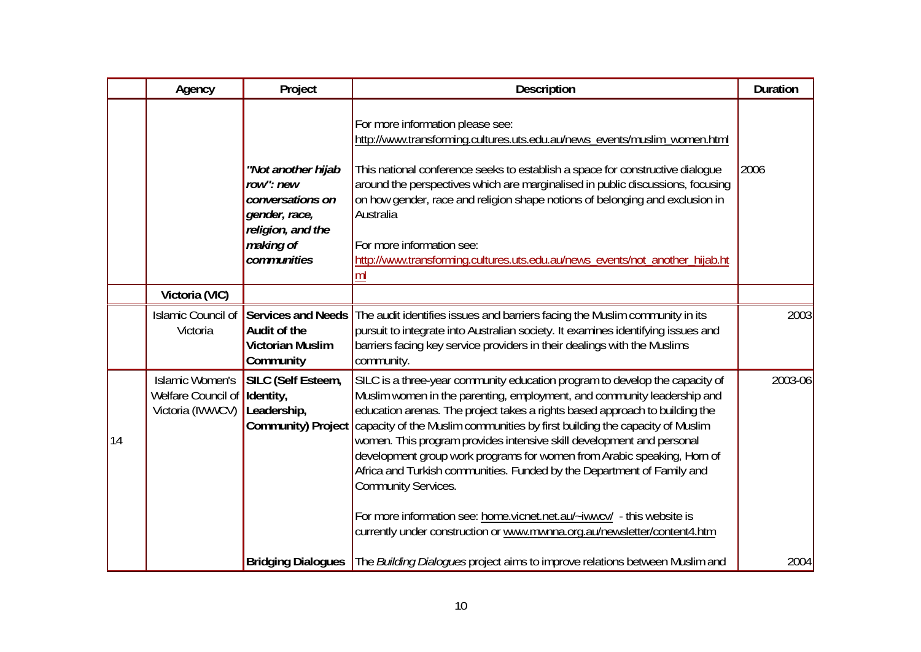|    | Agency                                                           | Project                                                                                                               | <b>Description</b>                                                                                                                                                                                                                                                                                                                                                                                                                                                                                                                                                                                                                                                                                                                                        | <b>Duration</b> |
|----|------------------------------------------------------------------|-----------------------------------------------------------------------------------------------------------------------|-----------------------------------------------------------------------------------------------------------------------------------------------------------------------------------------------------------------------------------------------------------------------------------------------------------------------------------------------------------------------------------------------------------------------------------------------------------------------------------------------------------------------------------------------------------------------------------------------------------------------------------------------------------------------------------------------------------------------------------------------------------|-----------------|
|    |                                                                  | "Not another hijab<br>row": new<br>conversations on<br>gender, race,<br>religion, and the<br>making of<br>communities | For more information please see:<br>http://www.transforming.cultures.uts.edu.au/news_events/muslim_women.html<br>This national conference seeks to establish a space for constructive dialogue<br>around the perspectives which are marginalised in public discussions, focusing<br>on how gender, race and religion shape notions of belonging and exclusion in<br>Australia<br>For more information see:<br>http://www.transforming.cultures.uts.edu.au/news_events/not_another_hijab.ht<br>ml                                                                                                                                                                                                                                                          | 2006            |
|    | Victoria (VIC)                                                   |                                                                                                                       |                                                                                                                                                                                                                                                                                                                                                                                                                                                                                                                                                                                                                                                                                                                                                           |                 |
|    | Islamic Council of<br>Victoria                                   | Services and Needs<br><b>Audit of the</b><br><b>Victorian Muslim</b><br>Community                                     | The audit identifies issues and barriers facing the Muslim community in its<br>pursuit to integrate into Australian society. It examines identifying issues and<br>barriers facing key service providers in their dealings with the Muslims<br>community.                                                                                                                                                                                                                                                                                                                                                                                                                                                                                                 | 2003            |
| 14 | <b>Islamic Women's</b><br>Welfare Council of<br>Victoria (IWWCV) | SILC (Self Esteem,<br>Identity,<br>Leadership,                                                                        | SILC is a three-year community education program to develop the capacity of<br>Muslim women in the parenting, employment, and community leadership and<br>education arenas. The project takes a rights based approach to building the<br>Community) Project capacity of the Muslim communities by first building the capacity of Muslim<br>women. This program provides intensive skill development and personal<br>development group work programs for women from Arabic speaking, Horn of<br>Africa and Turkish communities. Funded by the Department of Family and<br><b>Community Services.</b><br>For more information see: home.vicnet.net.au/~iwwcv/ - this website is<br>currently under construction or www.mwnna.org.au/newsletter/content4.htm | 2003-06         |
|    |                                                                  |                                                                                                                       | Bridging Dialogues The Building Dialogues project aims to improve relations between Muslim and                                                                                                                                                                                                                                                                                                                                                                                                                                                                                                                                                                                                                                                            | 2004            |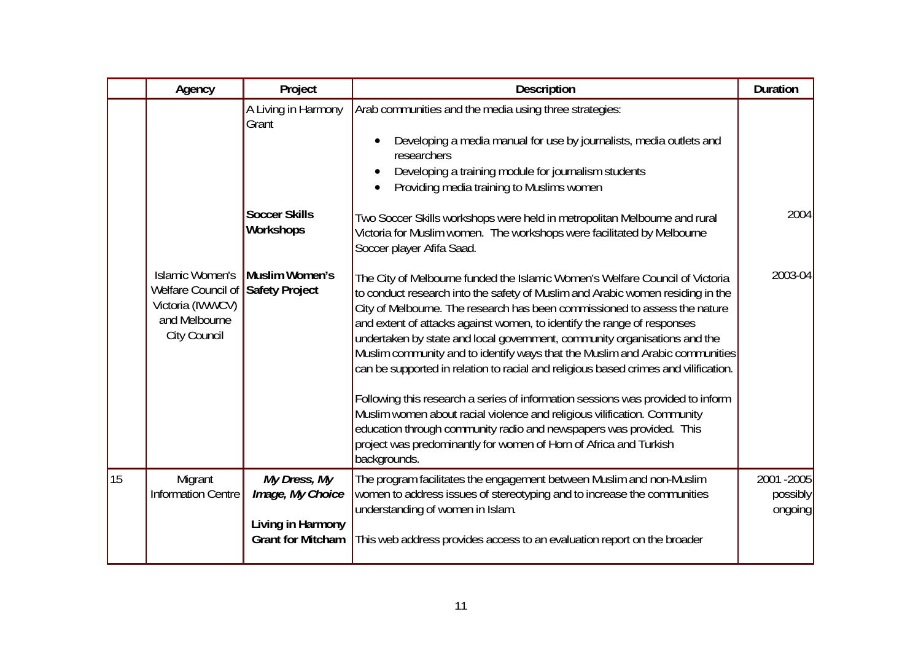|    | Agency                                                                                                   | Project                                       | Description                                                                                                                                                                                                                                                                                                                                                                                                                                                                                                                                                                                                                                                                                                                                                                                                                                                                                            | <b>Duration</b>                    |
|----|----------------------------------------------------------------------------------------------------------|-----------------------------------------------|--------------------------------------------------------------------------------------------------------------------------------------------------------------------------------------------------------------------------------------------------------------------------------------------------------------------------------------------------------------------------------------------------------------------------------------------------------------------------------------------------------------------------------------------------------------------------------------------------------------------------------------------------------------------------------------------------------------------------------------------------------------------------------------------------------------------------------------------------------------------------------------------------------|------------------------------------|
|    |                                                                                                          | A Living in Harmony<br>Grant                  | Arab communities and the media using three strategies:<br>Developing a media manual for use by journalists, media outlets and<br>researchers<br>Developing a training module for journalism students<br>Providing media training to Muslims women                                                                                                                                                                                                                                                                                                                                                                                                                                                                                                                                                                                                                                                      |                                    |
|    |                                                                                                          | <b>Soccer Skills</b><br><b>Workshops</b>      | Two Soccer Skills workshops were held in metropolitan Melbourne and rural<br>Victoria for Muslim women. The workshops were facilitated by Melbourne<br>Soccer player Afifa Saad.                                                                                                                                                                                                                                                                                                                                                                                                                                                                                                                                                                                                                                                                                                                       | 2004                               |
|    | <b>Islamic Women's</b><br>Welfare Council of<br>Victoria (IWWCV)<br>and Melbourne<br><b>City Council</b> | Muslim Women's<br>Safety Project              | The City of Melbourne funded the Islamic Women's Welfare Council of Victoria<br>to conduct research into the safety of Muslim and Arabic women residing in the<br>City of Melbourne. The research has been commissioned to assess the nature<br>and extent of attacks against women, to identify the range of responses<br>undertaken by state and local government, community organisations and the<br>Muslim community and to identify ways that the Muslim and Arabic communities<br>can be supported in relation to racial and religious based crimes and vilification.<br>Following this research a series of information sessions was provided to inform<br>Muslim women about racial violence and religious vilification. Community<br>education through community radio and newspapers was provided. This<br>project was predominantly for women of Horn of Africa and Turkish<br>backgrounds. | 2003-04                            |
| 15 | Migrant<br><b>Information Centre</b>                                                                     | My Dress, My<br>Image, My Choice              | The program facilitates the engagement between Muslim and non-Muslim<br>women to address issues of stereotyping and to increase the communities<br>understanding of women in Islam.                                                                                                                                                                                                                                                                                                                                                                                                                                                                                                                                                                                                                                                                                                                    | 2001 - 2005<br>possibly<br>ongoing |
|    |                                                                                                          | Living in Harmony<br><b>Grant for Mitcham</b> | This web address provides access to an evaluation report on the broader                                                                                                                                                                                                                                                                                                                                                                                                                                                                                                                                                                                                                                                                                                                                                                                                                                |                                    |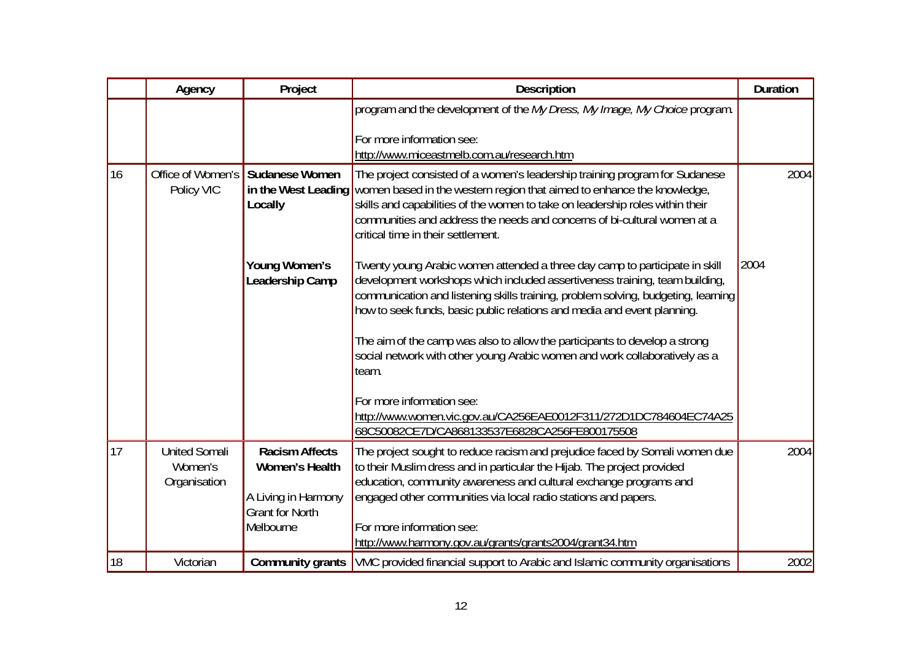|    | Agency                                          | Project                                                                                  | Description                                                                                                                                                                                                                                                                                                                                                                  | <b>Duration</b> |
|----|-------------------------------------------------|------------------------------------------------------------------------------------------|------------------------------------------------------------------------------------------------------------------------------------------------------------------------------------------------------------------------------------------------------------------------------------------------------------------------------------------------------------------------------|-----------------|
|    |                                                 |                                                                                          | program and the development of the My Dress, My Image, My Choice program.                                                                                                                                                                                                                                                                                                    |                 |
|    |                                                 |                                                                                          | For more information see:<br>http://www.miceastmelb.com.au/research.htm                                                                                                                                                                                                                                                                                                      |                 |
| 16 | Office of Women's<br>Policy VIC                 | <b>Sudanese Women</b><br>Locally                                                         | The project consisted of a women's leadership training program for Sudanese<br>in the West Leading women based in the western region that aimed to enhance the knowledge,<br>skills and capabilities of the women to take on leadership roles within their<br>communities and address the needs and concerns of bi-cultural women at a<br>critical time in their settlement. | 2004            |
|    |                                                 | Young Women's<br>Leadership Camp                                                         | Twenty young Arabic women attended a three day camp to participate in skill<br>development workshops which included assertiveness training, team building,<br>communication and listening skills training, problem solving, budgeting, learning<br>how to seek funds, basic public relations and media and event planning.                                                   | 2004            |
|    |                                                 |                                                                                          | The aim of the camp was also to allow the participants to develop a strong<br>social network with other young Arabic women and work collaboratively as a<br>team.                                                                                                                                                                                                            |                 |
|    |                                                 |                                                                                          | For more information see:<br>http://www.women.vic.gov.au/CA256EAE0012F311/272D1DC784604EC74A25<br>68C50082CE7D/CA868133537E6828CA256FE800175508                                                                                                                                                                                                                              |                 |
| 17 | <b>United Somali</b><br>Women's<br>Organisation | <b>Racism Affects</b><br>Women's Health<br>A Living in Harmony<br><b>Grant for North</b> | The project sought to reduce racism and prejudice faced by Somali women due<br>to their Muslim dress and in particular the Hijab. The project provided<br>education, community awareness and cultural exchange programs and<br>engaged other communities via local radio stations and papers.                                                                                | 2004            |
|    |                                                 | Melbourne                                                                                | For more information see:<br>http://www.harmony.gov.au/grants/grants2004/grant34.htm                                                                                                                                                                                                                                                                                         |                 |
| 18 | Victorian                                       |                                                                                          | <b>Community grants</b> VMC provided financial support to Arabic and Islamic community organisations                                                                                                                                                                                                                                                                         | 2002            |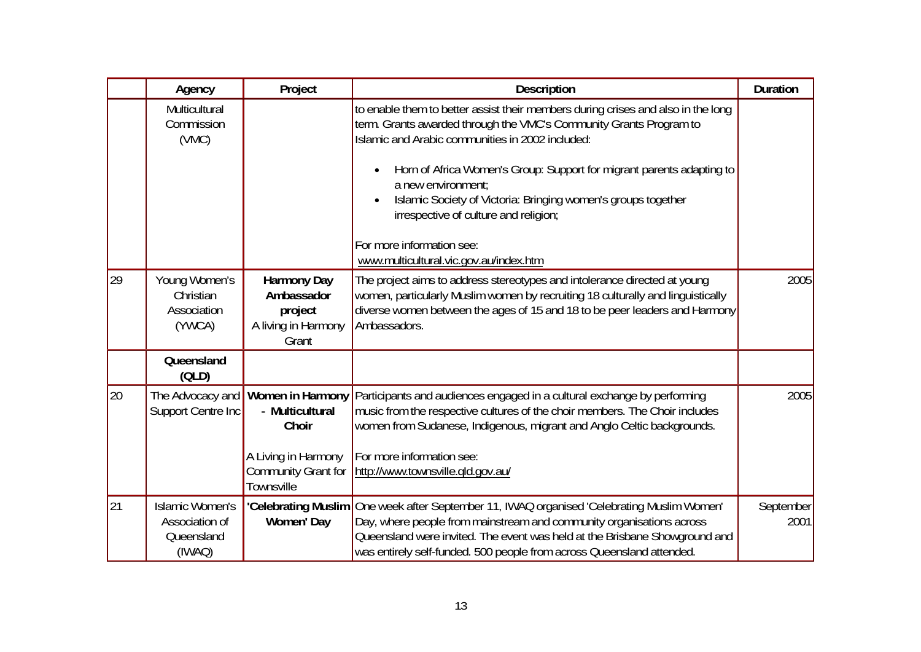|    | Agency                                                           | Project                                                                                                  | <b>Description</b>                                                                                                                                                                                                                                                                                                                                                                                                                                                                                                   | <b>Duration</b>   |
|----|------------------------------------------------------------------|----------------------------------------------------------------------------------------------------------|----------------------------------------------------------------------------------------------------------------------------------------------------------------------------------------------------------------------------------------------------------------------------------------------------------------------------------------------------------------------------------------------------------------------------------------------------------------------------------------------------------------------|-------------------|
|    | Multicultural<br>Commission<br>(WMC)                             |                                                                                                          | to enable them to better assist their members during crises and also in the long<br>term. Grants awarded through the VMC's Community Grants Program to<br>Islamic and Arabic communities in 2002 included:<br>Horn of Africa Women's Group: Support for migrant parents adapting to<br>$\bullet$<br>a new environment;<br>Islamic Society of Victoria: Bringing women's groups together<br>$\bullet$<br>irrespective of culture and religion;<br>For more information see:<br>www.multicultural.vic.gov.au/index.htm |                   |
| 29 | Young Women's<br>Christian<br>Association<br>(YWCA)              | <b>Harmony Day</b><br>Ambassador<br>project<br>A living in Harmony<br>Grant                              | The project aims to address stereotypes and intolerance directed at young<br>women, particularly Muslim women by recruiting 18 culturally and linguistically<br>diverse women between the ages of 15 and 18 to be peer leaders and Harmony<br>Ambassadors.                                                                                                                                                                                                                                                           | 2005              |
|    | Queensland<br>(OLD)                                              |                                                                                                          |                                                                                                                                                                                                                                                                                                                                                                                                                                                                                                                      |                   |
| 20 | The Advocacy and<br>Support Centre Inc                           | Women in Harmony<br>- Multicultural<br>Choir<br>A Living in Harmony<br>Community Grant for<br>Townsville | Participants and audiences engaged in a cultural exchange by performing<br>music from the respective cultures of the choir members. The Choir includes<br>women from Sudanese, Indigenous, migrant and Anglo Celtic backgrounds.<br>For more information see:<br>http://www.townsville.gld.gov.au/                                                                                                                                                                                                                   | 2005              |
| 21 | <b>Islamic Women's</b><br>Association of<br>Queensland<br>(IWAQ) | Women' Day                                                                                               | 'Celebrating Muslim One week after September 11, IWAQ organised 'Celebrating Muslim Women'<br>Day, where people from mainstream and community organisations across<br>Queensland were invited. The event was held at the Brisbane Showground and<br>was entirely self-funded. 500 people from across Queensland attended.                                                                                                                                                                                            | September<br>2001 |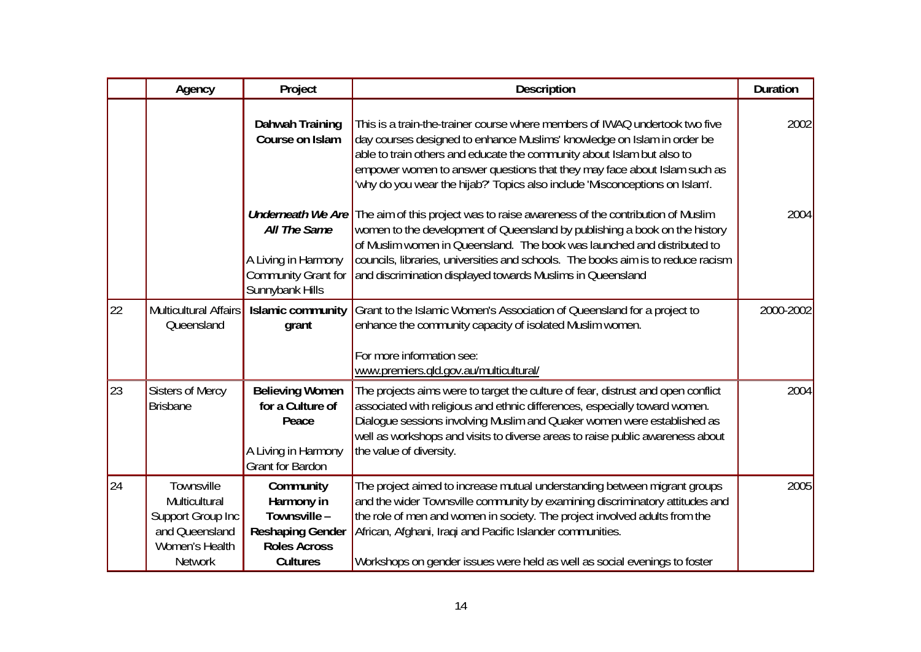|    | Agency                                                                                                 | Project                                                                                                      | Description                                                                                                                                                                                                                                                                                                                                                                                                                          | <b>Duration</b> |
|----|--------------------------------------------------------------------------------------------------------|--------------------------------------------------------------------------------------------------------------|--------------------------------------------------------------------------------------------------------------------------------------------------------------------------------------------------------------------------------------------------------------------------------------------------------------------------------------------------------------------------------------------------------------------------------------|-----------------|
|    |                                                                                                        | Dahwah Training<br>Course on Islam                                                                           | This is a train-the-trainer course where members of IWAQ undertook two five<br>day courses designed to enhance Muslims' knowledge on Islam in order be<br>able to train others and educate the community about Islam but also to<br>empower women to answer questions that they may face about Islam such as<br>'why do you wear the hijab?' Topics also include 'Misconceptions on Islam'.                                          | 2002            |
|    |                                                                                                        | All The Same<br>A Living in Harmony<br>Sunnybank Hills                                                       | <b>Underneath We Are</b> The aim of this project was to raise awareness of the contribution of Muslim<br>women to the development of Queensland by publishing a book on the history<br>of Muslim women in Queensland. The book was launched and distributed to<br>councils, libraries, universities and schools. The books aim is to reduce racism<br>Community Grant for and discrimination displayed towards Muslims in Queensland | 2004            |
| 22 | <b>Multicultural Affairs</b><br>Queensland                                                             | <b>Islamic community</b><br>grant                                                                            | Grant to the Islamic Women's Association of Queensland for a project to<br>enhance the community capacity of isolated Muslim women.<br>For more information see:<br>www.premiers.gld.gov.au/multicultural/                                                                                                                                                                                                                           | 2000-2002       |
| 23 | <b>Sisters of Mercy</b><br><b>Brisbane</b>                                                             | <b>Believing Women</b><br>for a Culture of<br>Peace<br>A Living in Harmony<br><b>Grant for Bardon</b>        | The projects aims were to target the culture of fear, distrust and open conflict<br>associated with religious and ethnic differences, especially toward women.<br>Dialogue sessions involving Muslim and Quaker women were established as<br>well as workshops and visits to diverse areas to raise public awareness about<br>the value of diversity.                                                                                | 2004            |
| 24 | Townsville<br>Multicultural<br>Support Group Inc<br>and Queensland<br>Women's Health<br><b>Network</b> | Community<br>Harmony in<br>Townsville -<br><b>Reshaping Gender</b><br><b>Roles Across</b><br><b>Cultures</b> | The project aimed to increase mutual understanding between migrant groups<br>and the wider Townsville community by examining discriminatory attitudes and<br>the role of men and women in society. The project involved adults from the<br>African, Afghani, Iraqi and Pacific Islander communities.<br>Workshops on gender issues were held as well as social evenings to foster                                                    | 2005            |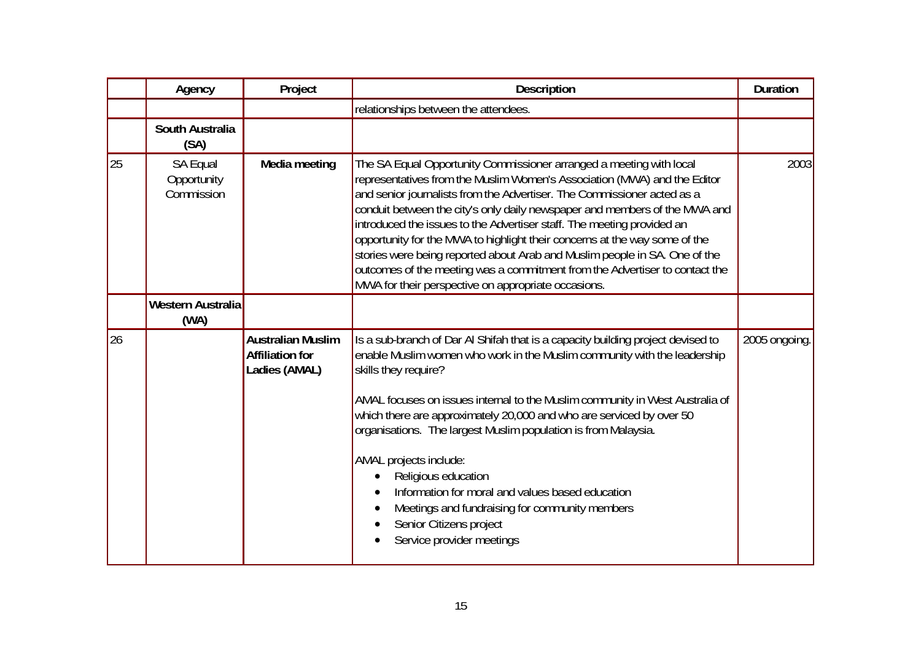|    | Agency                                | Project                                                             | <b>Description</b>                                                                                                                                                                                                                                                                                                                                                                                                                                                                                                                                                                                                                                                                   | <b>Duration</b> |
|----|---------------------------------------|---------------------------------------------------------------------|--------------------------------------------------------------------------------------------------------------------------------------------------------------------------------------------------------------------------------------------------------------------------------------------------------------------------------------------------------------------------------------------------------------------------------------------------------------------------------------------------------------------------------------------------------------------------------------------------------------------------------------------------------------------------------------|-----------------|
|    |                                       |                                                                     | relationships between the attendees.                                                                                                                                                                                                                                                                                                                                                                                                                                                                                                                                                                                                                                                 |                 |
|    | South Australia<br>(SA)               |                                                                     |                                                                                                                                                                                                                                                                                                                                                                                                                                                                                                                                                                                                                                                                                      |                 |
| 25 | SA Equal<br>Opportunity<br>Commission | Media meeting                                                       | The SA Equal Opportunity Commissioner arranged a meeting with local<br>representatives from the Muslim Women's Association (MWA) and the Editor<br>and senior journalists from the Advertiser. The Commissioner acted as a<br>conduit between the city's only daily newspaper and members of the MWA and<br>introduced the issues to the Advertiser staff. The meeting provided an<br>opportunity for the MWA to highlight their concerns at the way some of the<br>stories were being reported about Arab and Muslim people in SA. One of the<br>outcomes of the meeting was a commitment from the Advertiser to contact the<br>MWA for their perspective on appropriate occasions. | 2003            |
|    | Western Australia<br>(WA)             |                                                                     |                                                                                                                                                                                                                                                                                                                                                                                                                                                                                                                                                                                                                                                                                      |                 |
| 26 |                                       | <b>Australian Muslim</b><br><b>Affiliation for</b><br>Ladies (AMAL) | Is a sub-branch of Dar AI Shifah that is a capacity building project devised to<br>enable Muslim women who work in the Muslim community with the leadership<br>skills they require?<br>AMAL focuses on issues internal to the Muslim community in West Australia of<br>which there are approximately 20,000 and who are serviced by over 50<br>organisations. The largest Muslim population is from Malaysia.<br>AMAL projects include:<br>Religious education<br>Information for moral and values based education<br>Meetings and fundraising for community members<br>Senior Citizens project<br>Service provider meetings                                                         | 2005 ongoing.   |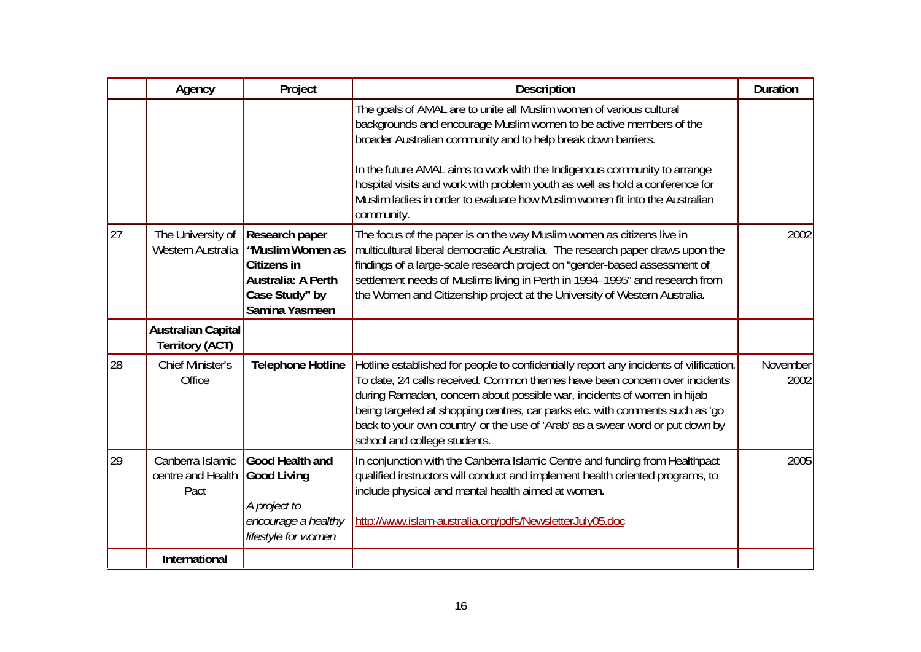|    | Agency                                              | Project                                                                                                           | <b>Description</b>                                                                                                                                                                                                                                                                                                                                                                                                                                                  | <b>Duration</b>  |
|----|-----------------------------------------------------|-------------------------------------------------------------------------------------------------------------------|---------------------------------------------------------------------------------------------------------------------------------------------------------------------------------------------------------------------------------------------------------------------------------------------------------------------------------------------------------------------------------------------------------------------------------------------------------------------|------------------|
|    |                                                     |                                                                                                                   | The goals of AMAL are to unite all Muslim women of various cultural<br>backgrounds and encourage Muslim women to be active members of the<br>broader Australian community and to help break down barriers.<br>In the future AMAL aims to work with the Indigenous community to arrange<br>hospital visits and work with problem youth as well as hold a conference for<br>Muslim ladies in order to evaluate how Muslim women fit into the Australian<br>community. |                  |
| 27 | The University of<br>Western Australia              | Research paper<br><b>Muslim Women as</b><br>Citizens in<br>Australia: A Perth<br>Case Study" by<br>Samina Yasmeen | The focus of the paper is on the way Muslim women as citizens live in<br>multicultural liberal democratic Australia. The research paper draws upon the<br>findings of a large-scale research project on "gender-based assessment of<br>settlement needs of Muslims living in Perth in 1994-1995" and research from<br>the Women and Citizenship project at the University of Western Australia.                                                                     | 2002             |
|    | <b>Australian Capital</b><br><b>Territory (ACT)</b> |                                                                                                                   |                                                                                                                                                                                                                                                                                                                                                                                                                                                                     |                  |
| 28 | <b>Chief Minister's</b><br>Office                   | <b>Telephone Hotline</b>                                                                                          | Hotline established for people to confidentially report any incidents of vilification.<br>To date, 24 calls received. Common themes have been concern over incidents<br>during Ramadan, concern about possible war, incidents of women in hijab<br>being targeted at shopping centres, car parks etc. with comments such as 'go<br>back to your own country' or the use of 'Arab' as a swear word or put down by<br>school and college students.                    | November<br>2002 |
| 29 | Canberra Islamic<br>centre and Health<br>Pact       | Good Health and<br><b>Good Living</b><br>A project to<br>encourage a healthy<br>lifestyle for women               | In conjunction with the Canberra Islamic Centre and funding from Healthpact<br>qualified instructors will conduct and implement health oriented programs, to<br>include physical and mental health aimed at women.<br>http://www.islam-australia.org/pdfs/NewsletterJuly05.doc                                                                                                                                                                                      | 2005             |
|    | <b>International</b>                                |                                                                                                                   |                                                                                                                                                                                                                                                                                                                                                                                                                                                                     |                  |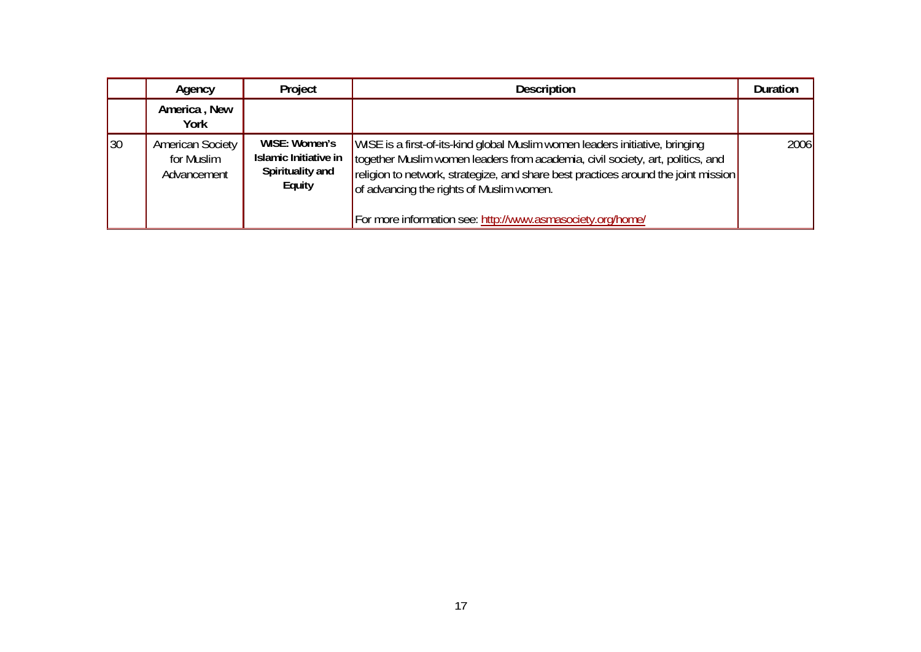|    | Agency                                               | Project                                                              | <b>Description</b>                                                                                                                                                                                                                                                                                                                                             | <b>Duration</b> |
|----|------------------------------------------------------|----------------------------------------------------------------------|----------------------------------------------------------------------------------------------------------------------------------------------------------------------------------------------------------------------------------------------------------------------------------------------------------------------------------------------------------------|-----------------|
|    | America, New<br>York                                 |                                                                      |                                                                                                                                                                                                                                                                                                                                                                |                 |
| 30 | <b>American Society</b><br>for Muslim<br>Advancement | WISE: Women's<br>Islamic Initiative in<br>Spirituality and<br>Equity | WISE is a first-of-its-kind global Muslim women leaders initiative, bringing<br>together Muslim women leaders from academia, civil society, art, politics, and<br>religion to network, strategize, and share best practices around the joint mission<br>of advancing the rights of Muslim women.<br>For more information see: http://www.asmasociety.org/home/ | 2006            |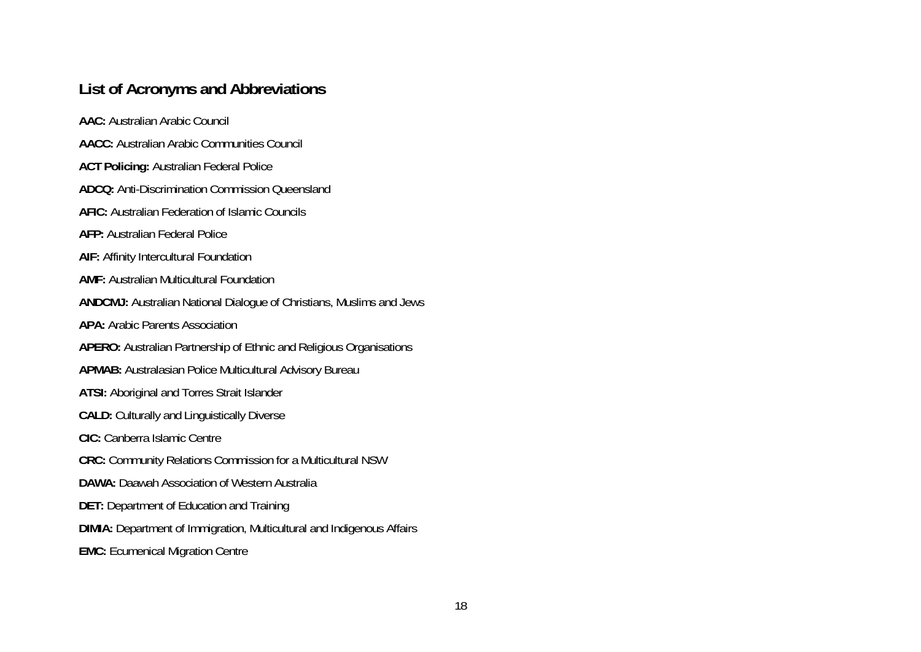## **List of Acronyms and Abbreviations**

**AAC:** Australian Arabic Council **AACC:** Australian Arabic Communities Council **ACT Policing:** Australian Federal Police **ADCQ:** Anti-Discrimination Commission Queensland **AFIC:** Australian Federation of Islamic Councils **AFP:** Australian Federal Police **AIF:** Affinity Intercultural Foundation **AMF:** Australian Multicultural Foundation **ANDCMJ:** Australian National Dialogue of Christians, Muslims and Jews **APA:** Arabic Parents Association **APERO:** Australian Partnership of Ethnic and Religious Organisations **APMAB:** Australasian Police Multicultural Advisory Bureau **ATSI:** Aboriginal and Torres Strait Islander **CALD:** Culturally and Linguistically Diverse **CIC:** Canberra Islamic Centre **CRC:** Community Relations Commission for a Multicultural NSW **DAWA:** Daawah Association of Western Australia **DET:** Department of Education and Training **DIMIA:** Department of Immigration, Multicultural and Indigenous Affairs **EMC:** Ecumenical Migration Centre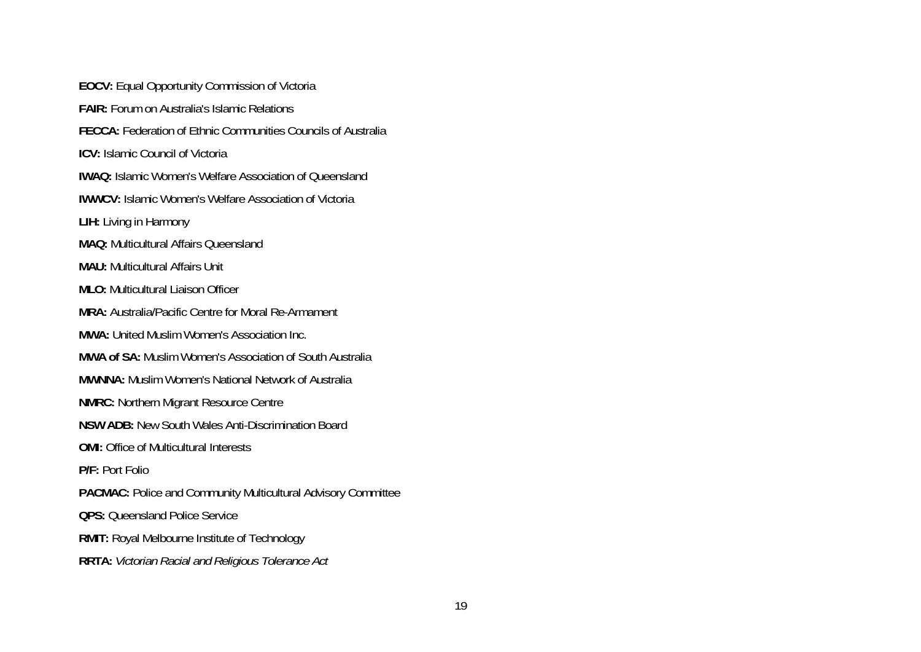**EOCV:** Equal Opportunity Commission of Victoria **FAIR:** Forum on Australia's Islamic Relations **FECCA:** Federation of Ethnic Communities Councils of Australia **ICV:** Islamic Council of Victoria **IWAQ:** Islamic Women's Welfare Association of Queensland **IWWCV:** Islamic Women's Welfare Association of Victoria **LIH:** Living in Harmony **MAQ:** Multicultural Affairs Queensland **MAU:** Multicultural Affairs Unit **MLO:** Multicultural Liaison Officer **MRA:** Australia/Pacific Centre for Moral Re-Armament **MWA:** United Muslim Women's Association Inc. **MWA of SA:** Muslim Women's Association of South Australia **MWNNA:** Muslim Women's National Network of Australia **NMRC:** Northern Migrant Resource Centre **NSW ADB:** New South Wales Anti-Discrimination Board **OMI:** Office of Multicultural Interests **P/F:** Port Folio **PACMAC:** Police and Community Multicultural Advisory Committee **OPS:** Queensland Police Service **RMIT:** Royal Melbourne Institute of Technology **RRTA:** *Victorian Racial and Religious Tolerance Act*